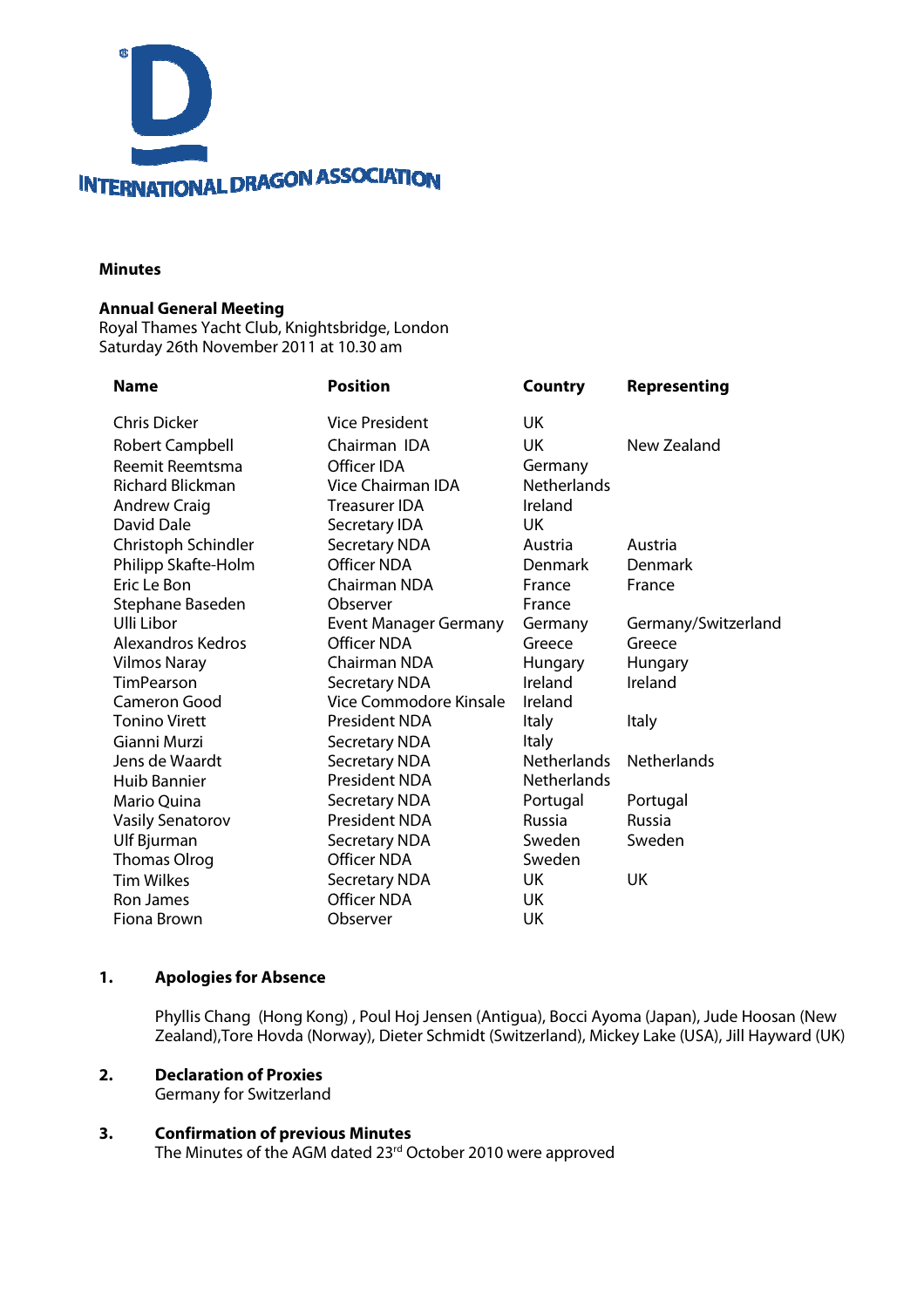

#### **Minutes**

#### **Annual General Meeting**

Royal Thames Yacht Club, Knightsbridge, London Saturday 26th November 2011 at 10.30 am

| <b>Position</b>              | <b>Country</b>     | <b>Representing</b> |
|------------------------------|--------------------|---------------------|
| <b>Vice President</b>        | UK                 |                     |
| Chairman IDA                 | <b>UK</b>          | New Zealand         |
| Officer IDA                  | Germany            |                     |
| Vice Chairman IDA            | <b>Netherlands</b> |                     |
| <b>Treasurer IDA</b>         | Ireland            |                     |
| Secretary IDA                | UK                 |                     |
| <b>Secretary NDA</b>         | Austria            | Austria             |
| <b>Officer NDA</b>           | <b>Denmark</b>     | Denmark             |
| Chairman NDA                 | France             | France              |
| Observer                     | France             |                     |
| <b>Event Manager Germany</b> | Germany            | Germany/Switzerland |
| Officer NDA                  | Greece             | Greece              |
| Chairman NDA                 | Hungary            | Hungary             |
| <b>Secretary NDA</b>         | Ireland            | Ireland             |
| Vice Commodore Kinsale       | Ireland            |                     |
| President NDA                | <b>Italy</b>       | <b>Italy</b>        |
| <b>Secretary NDA</b>         | <b>Italy</b>       |                     |
| <b>Secretary NDA</b>         | <b>Netherlands</b> | <b>Netherlands</b>  |
| President NDA                | <b>Netherlands</b> |                     |
| <b>Secretary NDA</b>         | Portugal           | Portugal            |
| President NDA                | <b>Russia</b>      | Russia              |
| <b>Secretary NDA</b>         | Sweden             | Sweden              |
| <b>Officer NDA</b>           | Sweden             |                     |
| <b>Secretary NDA</b>         | UK                 | <b>UK</b>           |
| <b>Officer NDA</b>           | UK                 |                     |
| Observer                     | UK                 |                     |
|                              |                    |                     |

#### **1. Apologies for Absence**

Phyllis Chang (Hong Kong) , Poul Hoj Jensen (Antigua), Bocci Ayoma (Japan), Jude Hoosan (New Zealand),Tore Hovda (Norway), Dieter Schmidt (Switzerland), Mickey Lake (USA), Jill Hayward (UK)

#### **2. Declaration of Proxies**

Germany for Switzerland

## **3. Confirmation of previous Minutes**

The Minutes of the AGM dated 23<sup>rd</sup> October 2010 were approved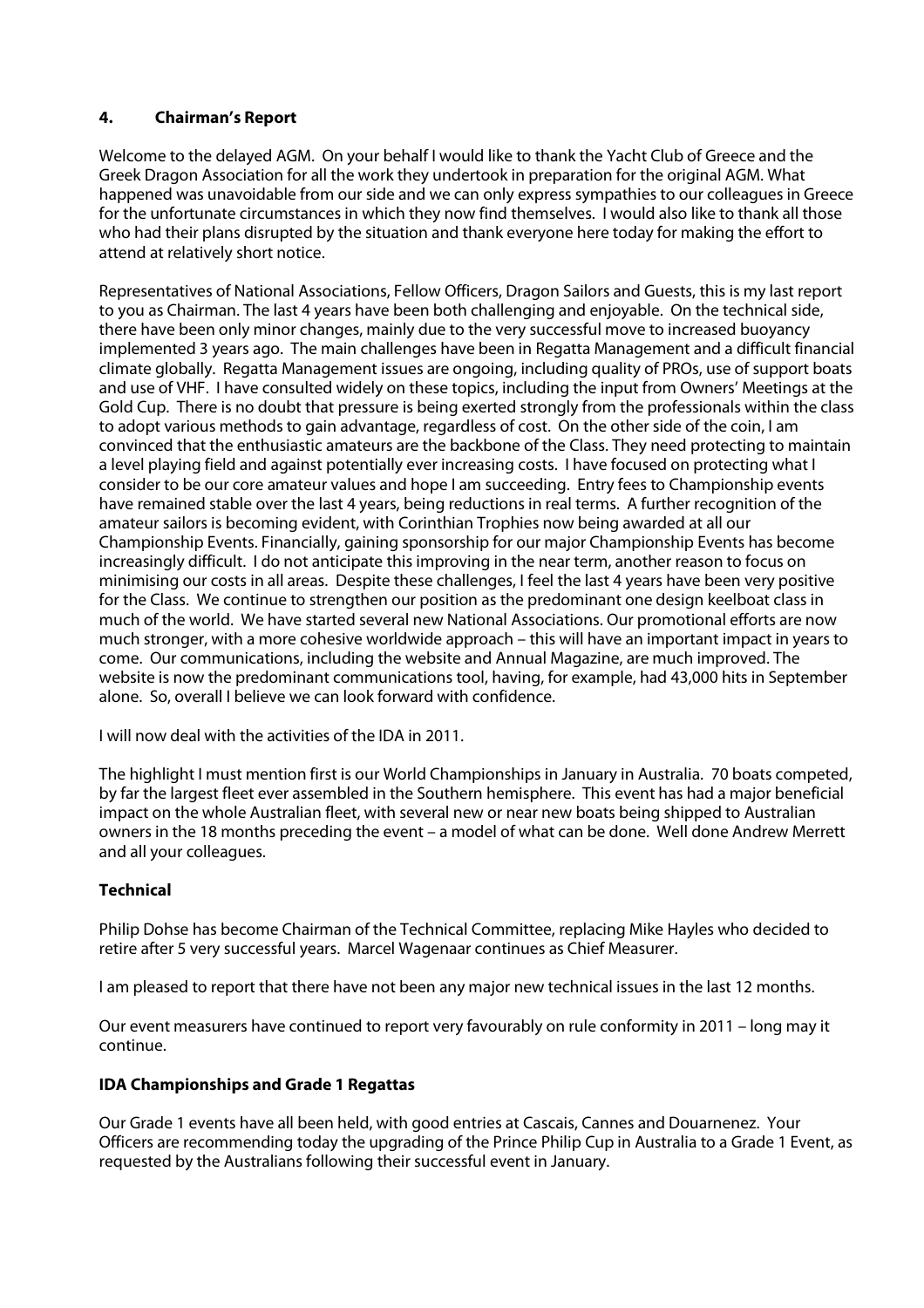## **4. Chairman's Report**

Welcome to the delayed AGM. On your behalf I would like to thank the Yacht Club of Greece and the Greek Dragon Association for all the work they undertook in preparation for the original AGM. What happened was unavoidable from our side and we can only express sympathies to our colleagues in Greece for the unfortunate circumstances in which they now find themselves. I would also like to thank all those who had their plans disrupted by the situation and thank everyone here today for making the effort to attend at relatively short notice.

Representatives of National Associations, Fellow Officers, Dragon Sailors and Guests, this is my last report to you as Chairman. The last 4 years have been both challenging and enjoyable. On the technical side, there have been only minor changes, mainly due to the very successful move to increased buoyancy implemented 3 years ago. The main challenges have been in Regatta Management and a difficult financial climate globally. Regatta Management issues are ongoing, including quality of PROs, use of support boats and use of VHF. I have consulted widely on these topics, including the input from Owners' Meetings at the Gold Cup. There is no doubt that pressure is being exerted strongly from the professionals within the class to adopt various methods to gain advantage, regardless of cost. On the other side of the coin, I am convinced that the enthusiastic amateurs are the backbone of the Class. They need protecting to maintain a level playing field and against potentially ever increasing costs. I have focused on protecting what I consider to be our core amateur values and hope I am succeeding. Entry fees to Championship events have remained stable over the last 4 years, being reductions in real terms. A further recognition of the amateur sailors is becoming evident, with Corinthian Trophies now being awarded at all our Championship Events. Financially, gaining sponsorship for our major Championship Events has become increasingly difficult. I do not anticipate this improving in the near term, another reason to focus on minimising our costs in all areas. Despite these challenges, I feel the last 4 years have been very positive for the Class. We continue to strengthen our position as the predominant one design keelboat class in much of the world. We have started several new National Associations. Our promotional efforts are now much stronger, with a more cohesive worldwide approach – this will have an important impact in years to come. Our communications, including the website and Annual Magazine, are much improved. The website is now the predominant communications tool, having, for example, had 43,000 hits in September alone. So, overall I believe we can look forward with confidence.

I will now deal with the activities of the IDA in 2011.

The highlight I must mention first is our World Championships in January in Australia. 70 boats competed, by far the largest fleet ever assembled in the Southern hemisphere. This event has had a major beneficial impact on the whole Australian fleet, with several new or near new boats being shipped to Australian owners in the 18 months preceding the event – a model of what can be done. Well done Andrew Merrett and all your colleagues.

## **Technical**

Philip Dohse has become Chairman of the Technical Committee, replacing Mike Hayles who decided to retire after 5 very successful years. Marcel Wagenaar continues as Chief Measurer.

I am pleased to report that there have not been any major new technical issues in the last 12 months.

Our event measurers have continued to report very favourably on rule conformity in 2011 – long may it continue.

## **IDA Championships and Grade 1 Regattas**

Our Grade 1 events have all been held, with good entries at Cascais, Cannes and Douarnenez. Your Officers are recommending today the upgrading of the Prince Philip Cup in Australia to a Grade 1 Event, as requested by the Australians following their successful event in January.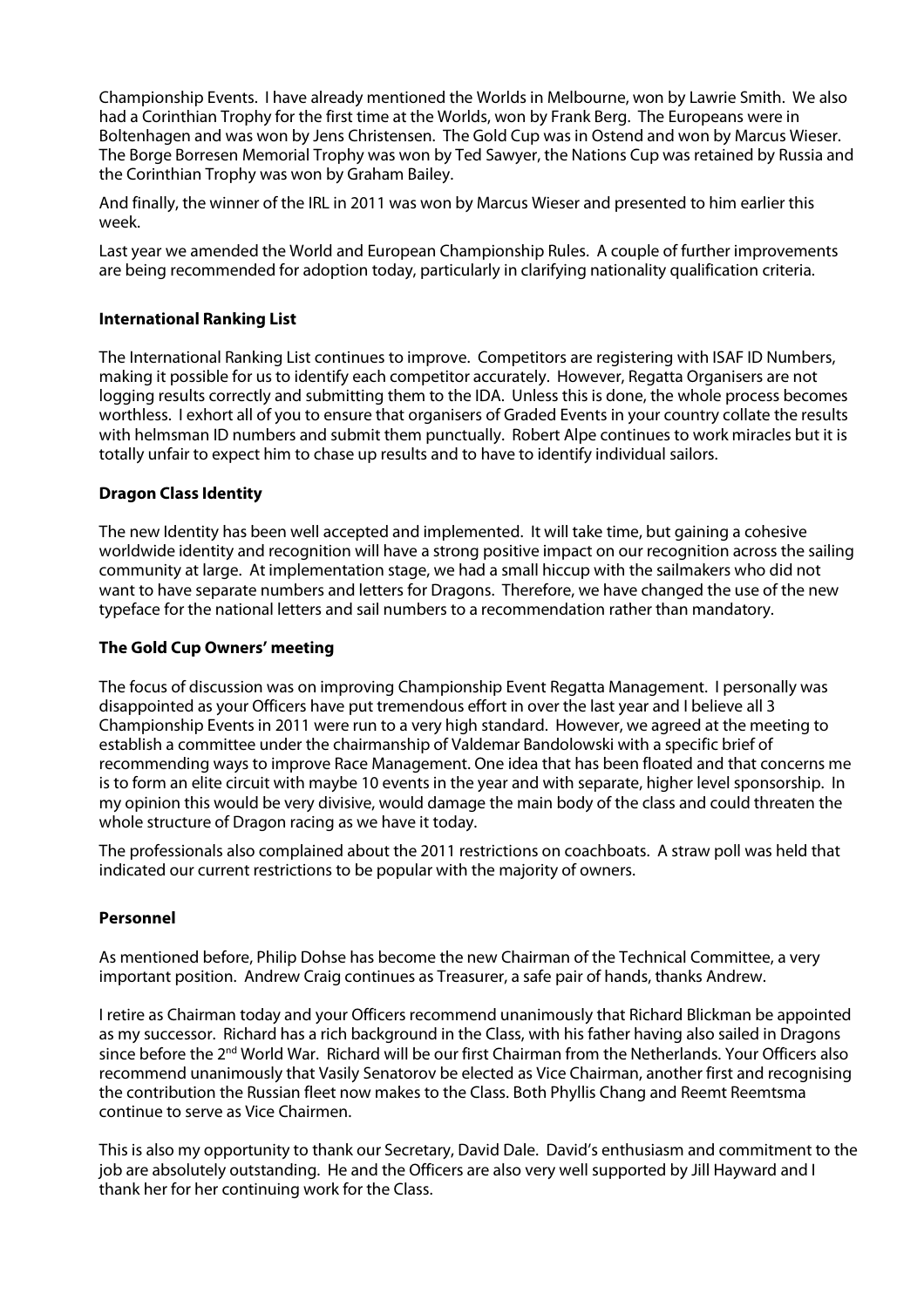Championship Events. I have already mentioned the Worlds in Melbourne, won by Lawrie Smith. We also had a Corinthian Trophy for the first time at the Worlds, won by Frank Berg. The Europeans were in Boltenhagen and was won by Jens Christensen. The Gold Cup was in Ostend and won by Marcus Wieser. The Borge Borresen Memorial Trophy was won by Ted Sawyer, the Nations Cup was retained by Russia and the Corinthian Trophy was won by Graham Bailey.

And finally, the winner of the IRL in 2011 was won by Marcus Wieser and presented to him earlier this week.

Last year we amended the World and European Championship Rules. A couple of further improvements are being recommended for adoption today, particularly in clarifying nationality qualification criteria.

#### **International Ranking List**

The International Ranking List continues to improve. Competitors are registering with ISAF ID Numbers, making it possible for us to identify each competitor accurately. However, Regatta Organisers are not logging results correctly and submitting them to the IDA. Unless this is done, the whole process becomes worthless. I exhort all of you to ensure that organisers of Graded Events in your country collate the results with helmsman ID numbers and submit them punctually. Robert Alpe continues to work miracles but it is totally unfair to expect him to chase up results and to have to identify individual sailors.

#### **Dragon Class Identity**

The new Identity has been well accepted and implemented. It will take time, but gaining a cohesive worldwide identity and recognition will have a strong positive impact on our recognition across the sailing community at large. At implementation stage, we had a small hiccup with the sailmakers who did not want to have separate numbers and letters for Dragons. Therefore, we have changed the use of the new typeface for the national letters and sail numbers to a recommendation rather than mandatory.

#### **The Gold Cup Owners' meeting**

The focus of discussion was on improving Championship Event Regatta Management. I personally was disappointed as your Officers have put tremendous effort in over the last year and I believe all 3 Championship Events in 2011 were run to a very high standard. However, we agreed at the meeting to establish a committee under the chairmanship of Valdemar Bandolowski with a specific brief of recommending ways to improve Race Management. One idea that has been floated and that concerns me is to form an elite circuit with maybe 10 events in the year and with separate, higher level sponsorship. In my opinion this would be very divisive, would damage the main body of the class and could threaten the whole structure of Dragon racing as we have it today.

The professionals also complained about the 2011 restrictions on coachboats. A straw poll was held that indicated our current restrictions to be popular with the majority of owners.

## **Personnel**

As mentioned before, Philip Dohse has become the new Chairman of the Technical Committee, a very important position. Andrew Craig continues as Treasurer, a safe pair of hands, thanks Andrew.

I retire as Chairman today and your Officers recommend unanimously that Richard Blickman be appointed as my successor. Richard has a rich background in the Class, with his father having also sailed in Dragons since before the 2<sup>nd</sup> World War. Richard will be our first Chairman from the Netherlands. Your Officers also recommend unanimously that Vasily Senatorov be elected as Vice Chairman, another first and recognising the contribution the Russian fleet now makes to the Class. Both Phyllis Chang and Reemt Reemtsma continue to serve as Vice Chairmen.

This is also my opportunity to thank our Secretary, David Dale. David's enthusiasm and commitment to the job are absolutely outstanding. He and the Officers are also very well supported by Jill Hayward and I thank her for her continuing work for the Class.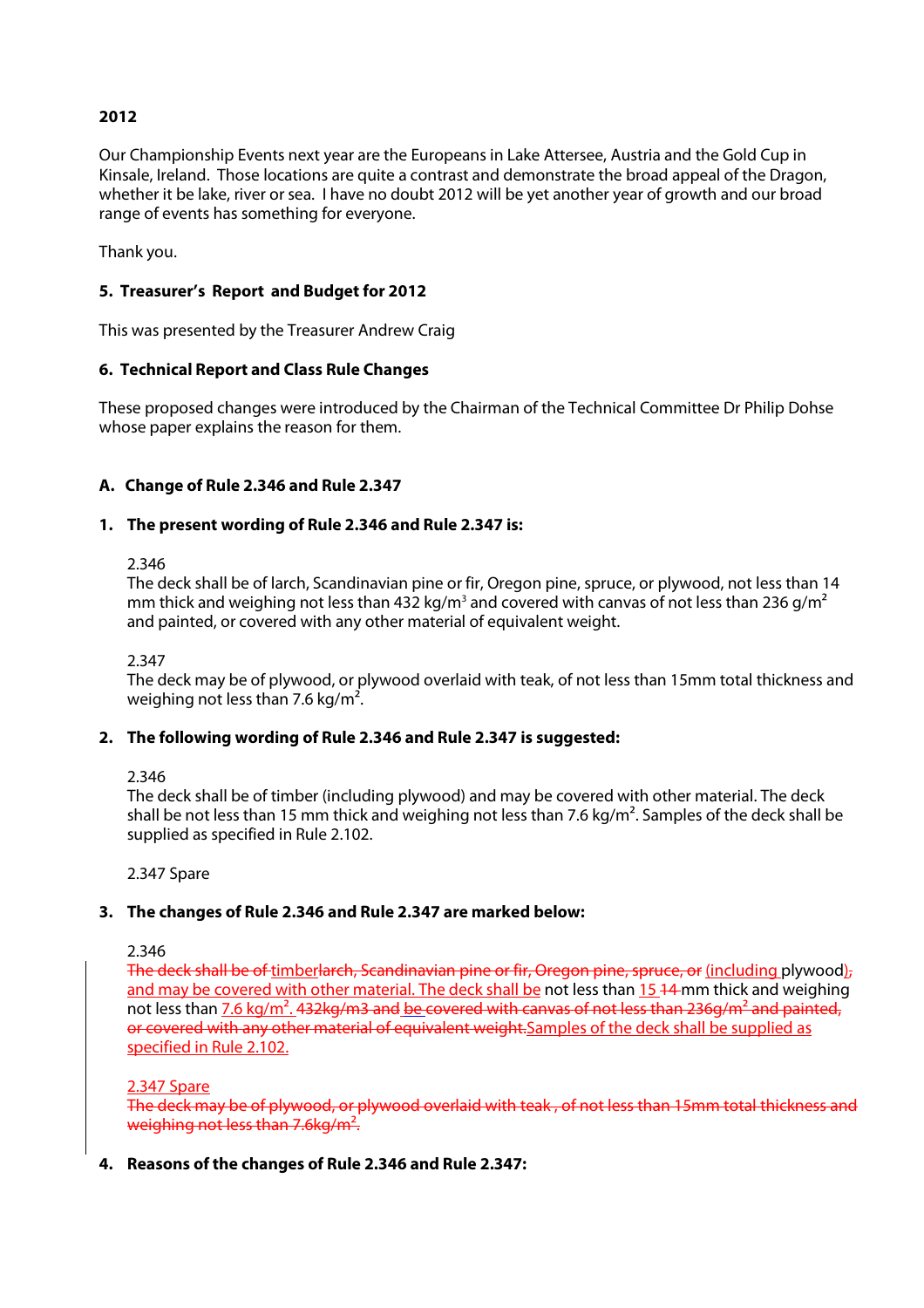# **2012**

Our Championship Events next year are the Europeans in Lake Attersee, Austria and the Gold Cup in Kinsale, Ireland. Those locations are quite a contrast and demonstrate the broad appeal of the Dragon, whether it be lake, river or sea. I have no doubt 2012 will be yet another year of growth and our broad range of events has something for everyone.

Thank you.

## **5. Treasurer's Report and Budget for 2012**

This was presented by the Treasurer Andrew Craig

## **6. Technical Report and Class Rule Changes**

These proposed changes were introduced by the Chairman of the Technical Committee Dr Philip Dohse whose paper explains the reason for them.

## **A. Change of Rule 2.346 and Rule 2.347**

## **1. The present wording of Rule 2.346 and Rule 2.347 is:**

2.346

The deck shall be of larch, Scandinavian pine or fir, Oregon pine, spruce, or plywood, not less than 14 mm thick and weighing not less than 432 kg/m $^{\rm 3}$  and covered with canvas of not less than 236 g/m $^{\rm 2}$ and painted, or covered with any other material of equivalent weight.

2.347

The deck may be of plywood, or plywood overlaid with teak, of not less than 15mm total thickness and weighing not less than 7.6 kg/m².

## **2. The following wording of Rule 2.346 and Rule 2.347 is suggested:**

2.346

The deck shall be of timber (including plywood) and may be covered with other material. The deck shall be not less than 15 mm thick and weighing not less than 7.6 kg/m<sup>2</sup>. Samples of the deck shall be supplied as specified in Rule 2.102.

2.347 Spare

## **3. The changes of Rule 2.346 and Rule 2.347 are marked below:**

2.346

The deck shall be of timberlarch, Scandinavian pine or fir, Oregon pine, spruce, or (including plywood), and may be covered with other material. The deck shall be not less than 15 44 mm thick and weighing not less than  $7.6$  kg/m<sup>2</sup>. 432kg/m3 and be covered with canvas of not less than 236g/m<sup>2</sup> and painted, or covered with any other material of equivalent weight. Samples of the deck shall be supplied as specified in Rule 2.102.

2.347 Spare

The deck may be of plywood, or plywood overlaid with teak , of not less than 15mm total thickness and weighing not less than 7.6kg/m<sup>2</sup>.

## **4. Reasons of the changes of Rule 2.346 and Rule 2.347:**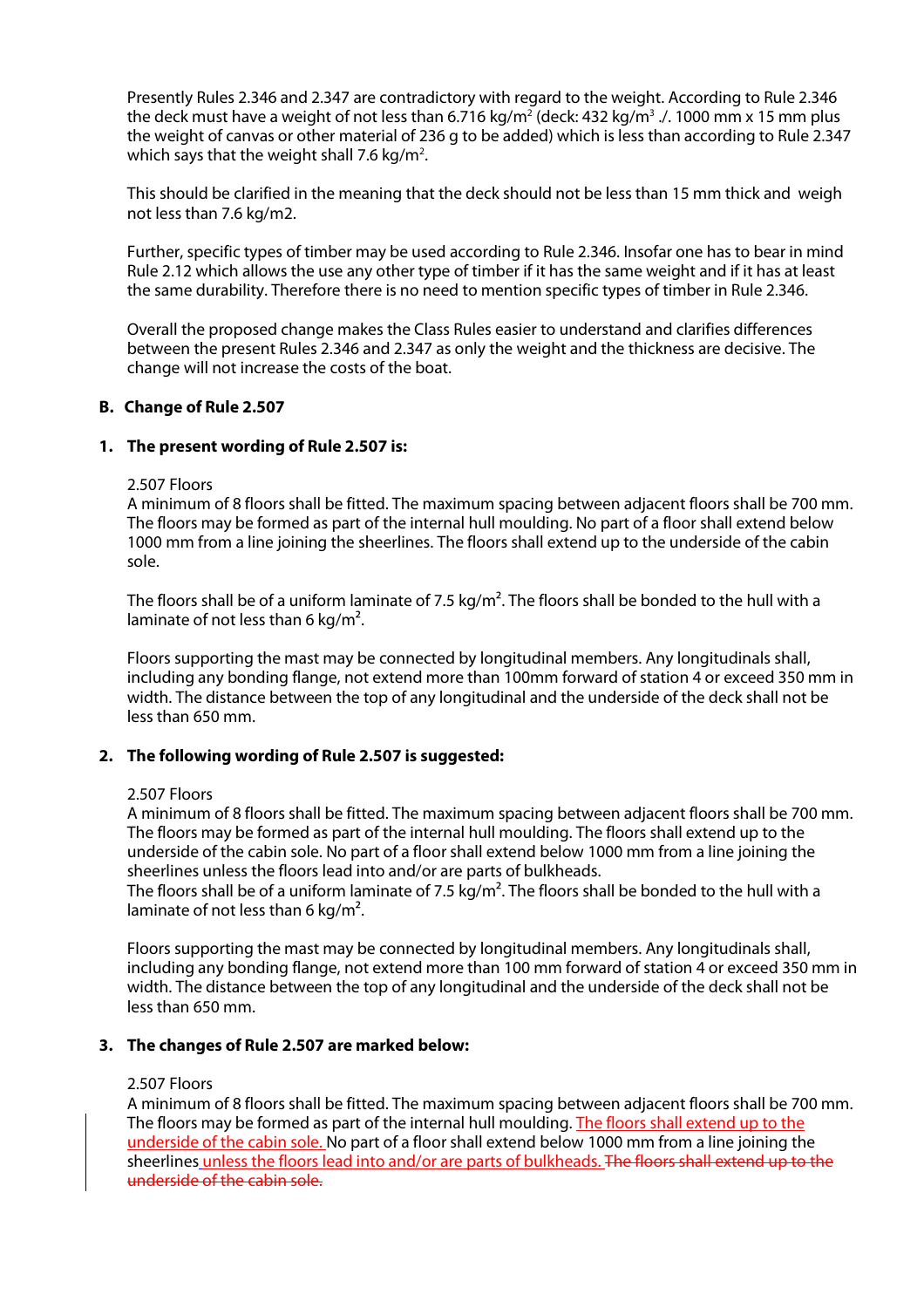Presently Rules 2.346 and 2.347 are contradictory with regard to the weight. According to Rule 2.346 the deck must have a weight of not less than 6.716 kg/m $^2$  (deck: 432 kg/m $^3$  ./. 1000 mm x 15 mm plus the weight of canvas or other material of 236 g to be added) which is less than according to Rule 2.347 which says that the weight shall 7.6 kg/m<sup>2</sup>.

This should be clarified in the meaning that the deck should not be less than 15 mm thick and weigh not less than 7.6 kg/m2.

Further, specific types of timber may be used according to Rule 2.346. Insofar one has to bear in mind Rule 2.12 which allows the use any other type of timber if it has the same weight and if it has at least the same durability. Therefore there is no need to mention specific types of timber in Rule 2.346.

Overall the proposed change makes the Class Rules easier to understand and clarifies differences between the present Rules 2.346 and 2.347 as only the weight and the thickness are decisive. The change will not increase the costs of the boat.

#### **B. Change of Rule 2.507**

#### **1. The present wording of Rule 2.507 is:**

#### 2.507 Floors

A minimum of 8 floors shall be fitted. The maximum spacing between adjacent floors shall be 700 mm. The floors may be formed as part of the internal hull moulding. No part of a floor shall extend below 1000 mm from a line joining the sheerlines. The floors shall extend up to the underside of the cabin sole.

The floors shall be of a uniform laminate of 7.5 kg/m<sup>2</sup>. The floors shall be bonded to the hull with a laminate of not less than 6 kg/m².

Floors supporting the mast may be connected by longitudinal members. Any longitudinals shall, including any bonding flange, not extend more than 100mm forward of station 4 or exceed 350 mm in width. The distance between the top of any longitudinal and the underside of the deck shall not be less than 650 mm.

#### **2. The following wording of Rule 2.507 is suggested:**

#### 2.507 Floors

A minimum of 8 floors shall be fitted. The maximum spacing between adjacent floors shall be 700 mm. The floors may be formed as part of the internal hull moulding. The floors shall extend up to the underside of the cabin sole. No part of a floor shall extend below 1000 mm from a line joining the sheerlines unless the floors lead into and/or are parts of bulkheads.

The floors shall be of a uniform laminate of 7.5 kg/m<sup>2</sup>. The floors shall be bonded to the hull with a laminate of not less than 6 kg/m².

Floors supporting the mast may be connected by longitudinal members. Any longitudinals shall, including any bonding flange, not extend more than 100 mm forward of station 4 or exceed 350 mm in width. The distance between the top of any longitudinal and the underside of the deck shall not be less than 650 mm.

## **3. The changes of Rule 2.507 are marked below:**

#### 2.507 Floors

A minimum of 8 floors shall be fitted. The maximum spacing between adjacent floors shall be 700 mm. The floors may be formed as part of the internal hull moulding. The floors shall extend up to the underside of the cabin sole. No part of a floor shall extend below 1000 mm from a line joining the sheerlines unless the floors lead into and/or are parts of bulkheads. The floors shall extend up to the underside of the cabin sole.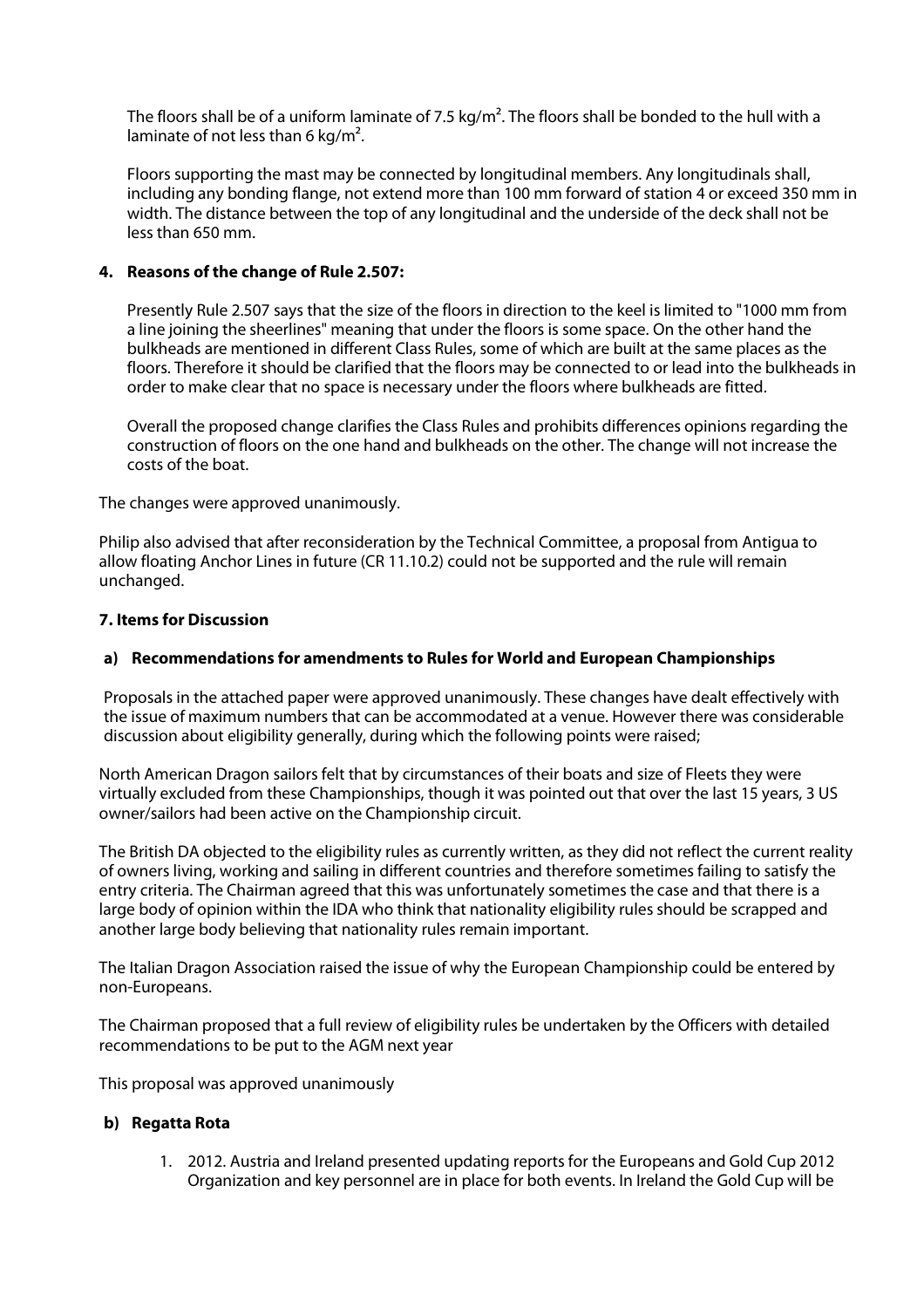The floors shall be of a uniform laminate of 7.5 kg/m<sup>2</sup>. The floors shall be bonded to the hull with a laminate of not less than 6 kg/m<sup>2</sup>.

Floors supporting the mast may be connected by longitudinal members. Any longitudinals shall, including any bonding flange, not extend more than 100 mm forward of station 4 or exceed 350 mm in width. The distance between the top of any longitudinal and the underside of the deck shall not be less than 650 mm.

## **4. Reasons of the change of Rule 2.507:**

Presently Rule 2.507 says that the size of the floors in direction to the keel is limited to "1000 mm from a line joining the sheerlines" meaning that under the floors is some space. On the other hand the bulkheads are mentioned in different Class Rules, some of which are built at the same places as the floors. Therefore it should be clarified that the floors may be connected to or lead into the bulkheads in order to make clear that no space is necessary under the floors where bulkheads are fitted.

Overall the proposed change clarifies the Class Rules and prohibits differences opinions regarding the construction of floors on the one hand and bulkheads on the other. The change will not increase the costs of the boat.

The changes were approved unanimously.

Philip also advised that after reconsideration by the Technical Committee, a proposal from Antigua to allow floating Anchor Lines in future (CR 11.10.2) could not be supported and the rule will remain unchanged.

#### **7. Items for Discussion**

#### **a) Recommendations for amendments to Rules for World and European Championships**

Proposals in the attached paper were approved unanimously. These changes have dealt effectively with the issue of maximum numbers that can be accommodated at a venue. However there was considerable discussion about eligibility generally, during which the following points were raised;

North American Dragon sailors felt that by circumstances of their boats and size of Fleets they were virtually excluded from these Championships, though it was pointed out that over the last 15 years, 3 US owner/sailors had been active on the Championship circuit.

The British DA objected to the eligibility rules as currently written, as they did not reflect the current reality of owners living, working and sailing in different countries and therefore sometimes failing to satisfy the entry criteria. The Chairman agreed that this was unfortunately sometimes the case and that there is a large body of opinion within the IDA who think that nationality eligibility rules should be scrapped and another large body believing that nationality rules remain important.

The Italian Dragon Association raised the issue of why the European Championship could be entered by non-Europeans.

The Chairman proposed that a full review of eligibility rules be undertaken by the Officers with detailed recommendations to be put to the AGM next year

This proposal was approved unanimously

#### **b) Regatta Rota**

1. 2012. Austria and Ireland presented updating reports for the Europeans and Gold Cup 2012 Organization and key personnel are in place for both events. In Ireland the Gold Cup will be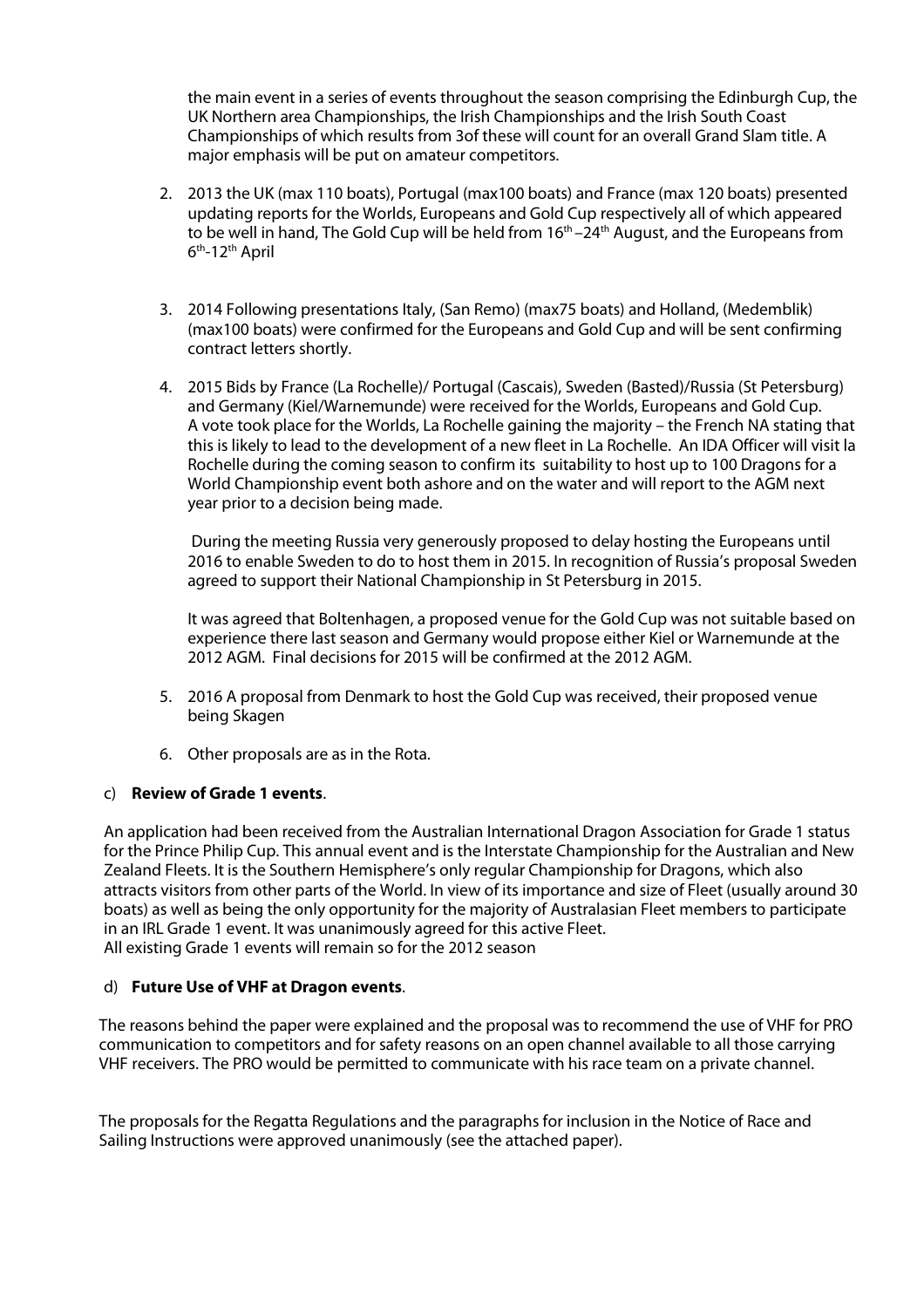the main event in a series of events throughout the season comprising the Edinburgh Cup, the UK Northern area Championships, the Irish Championships and the Irish South Coast Championships of which results from 3of these will count for an overall Grand Slam title. A major emphasis will be put on amateur competitors.

- 2. 2013 the UK (max 110 boats), Portugal (max100 boats) and France (max 120 boats) presented updating reports for the Worlds, Europeans and Gold Cup respectively all of which appeared to be well in hand, The Gold Cup will be held from  $16<sup>th</sup> - 24<sup>th</sup>$  August, and the Europeans from 6<sup>th</sup>-12<sup>th</sup> April
- 3. 2014 Following presentations Italy, (San Remo) (max75 boats) and Holland, (Medemblik) (max100 boats) were confirmed for the Europeans and Gold Cup and will be sent confirming contract letters shortly.
- 4. 2015 Bids by France (La Rochelle)/ Portugal (Cascais), Sweden (Basted)/Russia (St Petersburg) and Germany (Kiel/Warnemunde) were received for the Worlds, Europeans and Gold Cup. A vote took place for the Worlds, La Rochelle gaining the majority – the French NA stating that this is likely to lead to the development of a new fleet in La Rochelle. An IDA Officer will visit la Rochelle during the coming season to confirm its suitability to host up to 100 Dragons for a World Championship event both ashore and on the water and will report to the AGM next year prior to a decision being made.

 During the meeting Russia very generously proposed to delay hosting the Europeans until 2016 to enable Sweden to do to host them in 2015. In recognition of Russia's proposal Sweden agreed to support their National Championship in St Petersburg in 2015.

It was agreed that Boltenhagen, a proposed venue for the Gold Cup was not suitable based on experience there last season and Germany would propose either Kiel or Warnemunde at the 2012 AGM. Final decisions for 2015 will be confirmed at the 2012 AGM.

- 5. 2016 A proposal from Denmark to host the Gold Cup was received, their proposed venue being Skagen
- 6. Other proposals are as in the Rota.

## c) **Review of Grade 1 events**.

An application had been received from the Australian International Dragon Association for Grade 1 status for the Prince Philip Cup. This annual event and is the Interstate Championship for the Australian and New Zealand Fleets. It is the Southern Hemisphere's only regular Championship for Dragons, which also attracts visitors from other parts of the World. In view of its importance and size of Fleet (usually around 30 boats) as well as being the only opportunity for the majority of Australasian Fleet members to participate in an IRL Grade 1 event. It was unanimously agreed for this active Fleet. All existing Grade 1 events will remain so for the 2012 season

## d) **Future Use of VHF at Dragon events**.

The reasons behind the paper were explained and the proposal was to recommend the use of VHF for PRO communication to competitors and for safety reasons on an open channel available to all those carrying VHF receivers. The PRO would be permitted to communicate with his race team on a private channel.

The proposals for the Regatta Regulations and the paragraphs for inclusion in the Notice of Race and Sailing Instructions were approved unanimously (see the attached paper).